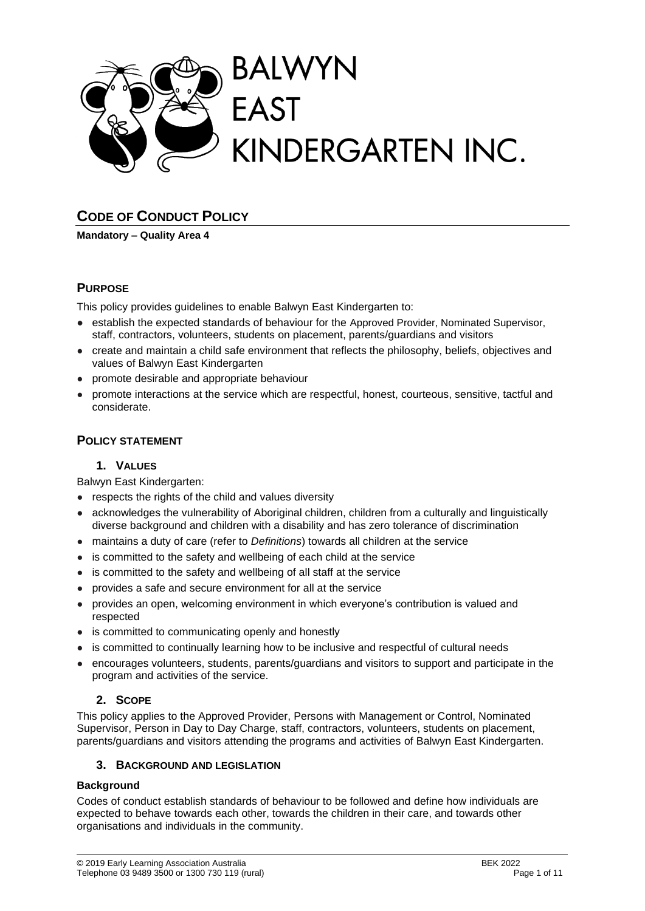

# **CODE OF CONDUCT POLICY**

**Mandatory – Quality Area 4**

## **PURPOSE**

This policy provides guidelines to enable Balwyn East Kindergarten to:

- establish the expected standards of behaviour for the Approved Provider, Nominated Supervisor, staff, contractors, volunteers, students on placement, parents/guardians and visitors
- create and maintain a child safe environment that reflects the philosophy, beliefs, objectives and values of Balwyn East Kindergarten
- promote desirable and appropriate behaviour
- promote interactions at the service which are respectful, honest, courteous, sensitive, tactful and considerate.

## **POLICY STATEMENT**

### **1. VALUES**

Balwyn East Kindergarten:

- respects the rights of the child and values diversity
- acknowledges the vulnerability of Aboriginal children, children from a culturally and linguistically diverse background and children with a disability and has zero tolerance of discrimination
- maintains a duty of care (refer to *Definitions*) towards all children at the service
- is committed to the safety and wellbeing of each child at the service
- is committed to the safety and wellbeing of all staff at the service
- provides a safe and secure environment for all at the service
- provides an open, welcoming environment in which everyone's contribution is valued and respected
- is committed to communicating openly and honestly
- is committed to continually learning how to be inclusive and respectful of cultural needs
- encourages volunteers, students, parents/guardians and visitors to support and participate in the program and activities of the service.

## **2. SCOPE**

This policy applies to the Approved Provider, Persons with Management or Control, Nominated Supervisor, Person in Day to Day Charge, staff, contractors, volunteers, students on placement, parents/guardians and visitors attending the programs and activities of Balwyn East Kindergarten.

### **3. BACKGROUND AND LEGISLATION**

### **Background**

Codes of conduct establish standards of behaviour to be followed and define how individuals are expected to behave towards each other, towards the children in their care, and towards other organisations and individuals in the community.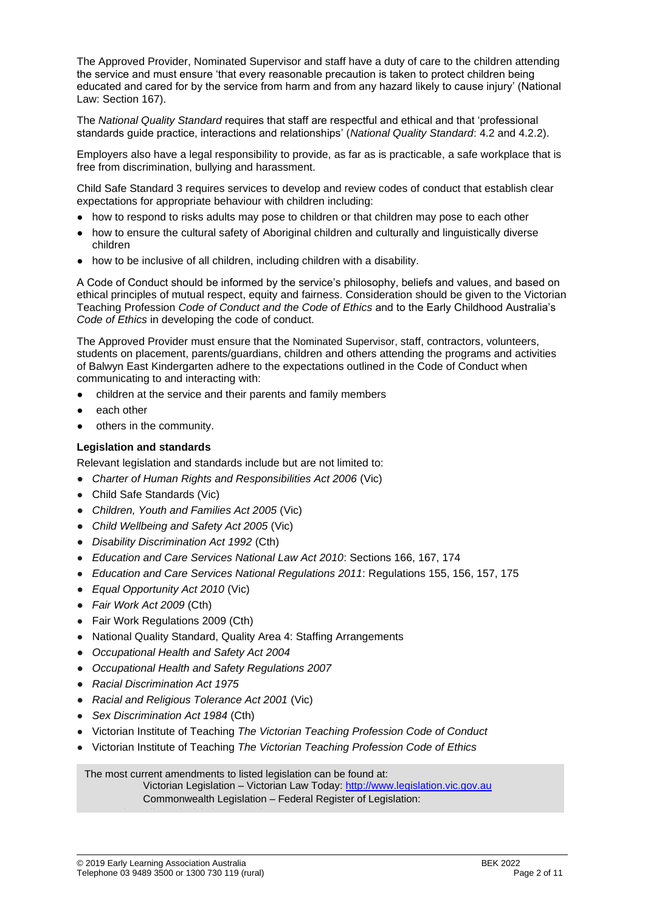The Approved Provider, Nominated Supervisor and staff have a duty of care to the children attending the service and must ensure 'that every reasonable precaution is taken to protect children being educated and cared for by the service from harm and from any hazard likely to cause injury' (National Law: Section 167).

The *National Quality Standard* requires that staff are respectful and ethical and that 'professional standards guide practice, interactions and relationships' (*National Quality Standard*: 4.2 and 4.2.2).

Employers also have a legal responsibility to provide, as far as is practicable, a safe workplace that is free from discrimination, bullying and harassment.

Child Safe Standard 3 requires services to develop and review codes of conduct that establish clear expectations for appropriate behaviour with children including:

- how to respond to risks adults may pose to children or that children may pose to each other
- how to ensure the cultural safety of Aboriginal children and culturally and linguistically diverse children
- how to be inclusive of all children, including children with a disability.

A Code of Conduct should be informed by the service's philosophy, beliefs and values, and based on ethical principles of mutual respect, equity and fairness. Consideration should be given to the Victorian Teaching Profession *Code of Conduct and the Code of Ethics* and to the Early Childhood Australia's *Code of Ethics* in developing the code of conduct.

The Approved Provider must ensure that the Nominated Supervisor, staff, contractors, volunteers, students on placement, parents/guardians, children and others attending the programs and activities of Balwyn East Kindergarten adhere to the expectations outlined in the Code of Conduct when communicating to and interacting with:

- children at the service and their parents and family members
- each other
- others in the community.

#### **Legislation and standards**

Relevant legislation and standards include but are not limited to:

- *[Charter of Human Rights and Responsibilities Act 2006](http://www.legislation.vic.gov.au/Domino/Web_Notes/LDMS/PubStatbook.nsf/f932b66241ecf1b7ca256e92000e23be/54d73763ef9dca36ca2571b6002428b0!OpenDocument)* [\(Vic\)](http://www.legislation.vic.gov.au/Domino/Web_Notes/LDMS/PubStatbook.nsf/f932b66241ecf1b7ca256e92000e23be/54d73763ef9dca36ca2571b6002428b0!OpenDocument)
- Child Safe Standards (Vic)
- *Children, Youth and Families Act 2005* (Vic)
- *Child Wellbeing and Safety Act 2005* (Vic)
- *Disability Discrimination Act 1992* (Cth)
- *Education and Care Services National Law Act 2010*: Sections 166, 167, 174
- *Education and Care Services National Regulations 2011*: Regulations 155, 156, 157, 175
- *Equal Opportunity Act 2010* (Vic)
- *Fair Work Act 2009* (Cth)
- Fair Work Regulations 2009 (Cth)
- National Quality Standard, Quality Area 4: Staffing Arrangements
- *Occupational Health and Safety Act 2004*
- *Occupational Health and Safety Regulations 2007*
- *Racial Discrimination Act 1975*
- *[Racial and Religious Tolerance Act 2001](http://www.legislation.vic.gov.au/Domino/Web_Notes/LDMS/PubLawToday.nsf/a12f6f60fbd56800ca256de500201e54/ab66aeef028f70e7ca2576400082797c%21OpenDocument)* (Vic)
- **Sex Discrimination Act 1984 (Cth)**
- Victorian Institute of Teaching *The Victorian Teaching Profession Code of Conduct*
- Victorian Institute of Teaching *The Victorian Teaching Profession Code of Ethics*

The most current amendments to listed legislation can be found at:

Victorian Legislation – Victorian Law Today: http://www.legislation.vic.gov.au Commonwealth Legislation – Federal Register of Legislation: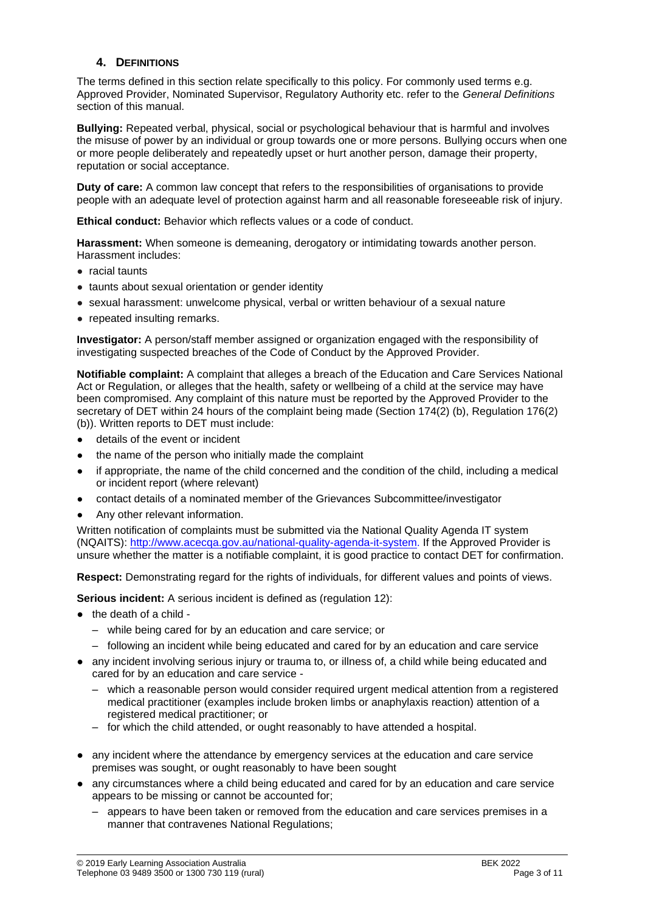### **4. DEFINITIONS**

The terms defined in this section relate specifically to this policy. For commonly used terms e.g. Approved Provider, Nominated Supervisor, Regulatory Authority etc. refer to the *General Definitions* section of this manual.

**Bullying:** Repeated verbal, physical, social or psychological behaviour that is harmful and involves the misuse of power by an individual or group towards one or more persons. Bullying occurs when one or more people deliberately and repeatedly upset or hurt another person, damage their property, reputation or social acceptance.

**Duty of care:** A common law concept that refers to the responsibilities of organisations to provide people with an adequate level of protection against harm and all reasonable foreseeable risk of injury.

**Ethical conduct:** Behavior which reflects values or a code of conduct.

**Harassment:** When someone is demeaning, derogatory or intimidating towards another person. Harassment includes:

- racial taunts
- taunts about sexual orientation or gender identity
- sexual harassment: unwelcome physical, verbal or written behaviour of a sexual nature
- repeated insulting remarks.

**Investigator:** A person/staff member assigned or organization engaged with the responsibility of investigating suspected breaches of the Code of Conduct by the Approved Provider.

**Notifiable complaint:** A complaint that alleges a breach of the Education and Care Services National Act or Regulation, or alleges that the health, safety or wellbeing of a child at the service may have been compromised. Any complaint of this nature must be reported by the Approved Provider to the secretary of DET within 24 hours of the complaint being made (Section 174(2) (b), Regulation 176(2) (b)). Written reports to DET must include:

- details of the event or incident
- the name of the person who initially made the complaint
- if appropriate, the name of the child concerned and the condition of the child, including a medical or incident report (where relevant)
- contact details of a nominated member of the Grievances Subcommittee/investigator
- Any other relevant information.

Written notification of complaints must be submitted via the National Quality Agenda IT system (NQAITS): [http://www.acecqa.gov.au/national-quality-agenda-it-system.](http://www.acecqa.gov.au/national-quality-agenda-it-system) If the Approved Provider is unsure whether the matter is a notifiable complaint, it is good practice to contact DET for confirmation.

**Respect:** Demonstrating regard for the rights of individuals, for different values and points of views.

**Serious incident:** A serious incident is defined as (regulation 12):

- the death of a child
	- while being cared for by an education and care service; or
	- following an incident while being educated and cared for by an education and care service
- any incident involving serious injury or trauma to, or illness of, a child while being educated and cared for by an education and care service -
	- which a reasonable person would consider required urgent medical attention from a registered medical practitioner (examples include broken limbs or anaphylaxis reaction) attention of a registered medical practitioner; or
	- for which the child attended, or ought reasonably to have attended a hospital.
- any incident where the attendance by emergency services at the education and care service premises was sought, or ought reasonably to have been sought
- any circumstances where a child being educated and cared for by an education and care service appears to be missing or cannot be accounted for;
	- appears to have been taken or removed from the education and care services premises in a manner that contravenes National Regulations;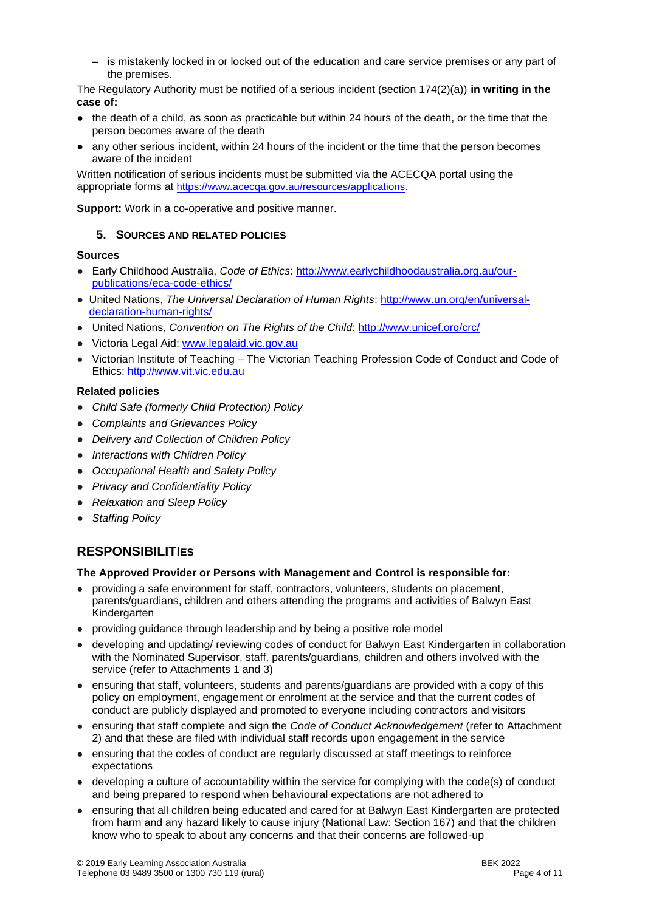– is mistakenly locked in or locked out of the education and care service premises or any part of the premises.

The Regulatory Authority must be notified of a serious incident (section 174(2)(a)) **in writing in the case of:**

- the death of a child, as soon as practicable but within 24 hours of the death, or the time that the person becomes aware of the death
- any other serious incident, within 24 hours of the incident or the time that the person becomes aware of the incident

Written notification of serious incidents must be submitted via the ACECQA portal using the appropriate forms at <https://www.acecqa.gov.au/resources/applications>.

**Support:** Work in a co-operative and positive manner.

## **5. SOURCES AND RELATED POLICIES**

### **Sources**

- Early Childhood Australia, *Code of Ethics*: [http://www.earlychildhoodaustralia.org.au/our](http://www.earlychildhoodaustralia.org.au/our-publications/eca-code-ethics/)[publications/eca-code-ethics/](http://www.earlychildhoodaustralia.org.au/our-publications/eca-code-ethics/)
- United Nations, *The Universal Declaration of Human Rights*: [http://www.un.org/en/universal](http://www.un.org/en/universal-declaration-human-rights/)[declaration-human-rights/](http://www.un.org/en/universal-declaration-human-rights/)
- United Nations, *Convention on The Rights of the Child*:<http://www.unicef.org/crc/>
- Victoria Legal Aid: [www.legalaid.vic.gov.au](http://www.legalaid.vic.gov.au/)
- Victorian Institute of Teaching The Victorian Teaching Profession Code of Conduct and Code of Ethics: [http://www.vit.vic.edu.au](http://www.vit.vic.edu.au/)

### **Related policies**

- *Child Safe (formerly Child Protection) Policy*
- *Complaints and Grievances Policy*
- *Delivery and Collection of Children Policy*
- *Interactions with Children Policy*
- *Occupational Health and Safety Policy*
- *Privacy and Confidentiality Policy*
- *Relaxation and Sleep Policy*
- **Staffing Policy**

# **RESPONSIBILITIES**

#### **The Approved Provider or Persons with Management and Control is responsible for:**

- providing a safe environment for staff, contractors, volunteers, students on placement, parents/guardians, children and others attending the programs and activities of Balwyn East Kindergarten
- providing guidance through leadership and by being a positive role model
- developing and updating/ reviewing codes of conduct for Balwyn East Kindergarten in collaboration with the Nominated Supervisor, staff, parents/guardians, children and others involved with the service (refer to Attachments 1 and 3)
- ensuring that staff, volunteers, students and parents/guardians are provided with a copy of this policy on employment, engagement or enrolment at the service and that the current codes of conduct are publicly displayed and promoted to everyone including contractors and visitors
- ensuring that staff complete and sign the *Code of Conduct Acknowledgement* (refer to Attachment 2) and that these are filed with individual staff records upon engagement in the service
- ensuring that the codes of conduct are regularly discussed at staff meetings to reinforce expectations
- developing a culture of accountability within the service for complying with the code(s) of conduct and being prepared to respond when behavioural expectations are not adhered to
- ensuring that all children being educated and cared for at Balwyn East Kindergarten are protected from harm and any hazard likely to cause injury (National Law: Section 167) and that the children know who to speak to about any concerns and that their concerns are followed-up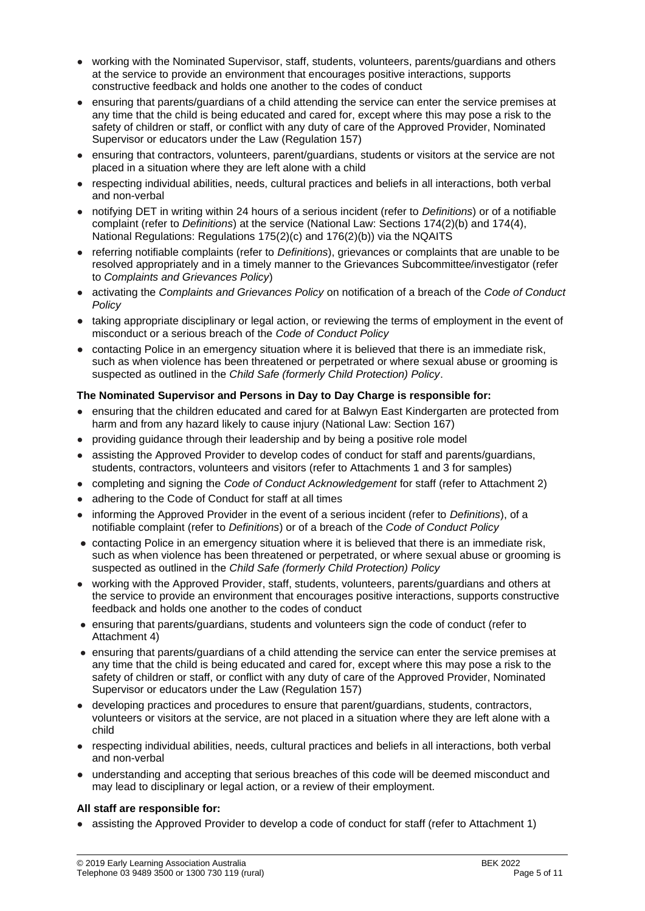- working with the Nominated Supervisor, staff, students, volunteers, parents/guardians and others at the service to provide an environment that encourages positive interactions, supports constructive feedback and holds one another to the codes of conduct
- ensuring that parents/guardians of a child attending the service can enter the service premises at any time that the child is being educated and cared for, except where this may pose a risk to the safety of children or staff, or conflict with any duty of care of the Approved Provider, Nominated Supervisor or educators under the Law (Regulation 157)
- ensuring that contractors, volunteers, parent/guardians, students or visitors at the service are not placed in a situation where they are left alone with a child
- respecting individual abilities, needs, cultural practices and beliefs in all interactions, both verbal and non-verbal
- notifying DET in writing within 24 hours of a serious incident (refer to *Definitions*) or of a notifiable complaint (refer to *Definitions*) at the service (National Law: Sections 174(2)(b) and 174(4), National Regulations: Regulations 175(2)(c) and 176(2)(b)) via the NQAITS
- referring notifiable complaints (refer to *Definitions*), grievances or complaints that are unable to be resolved appropriately and in a timely manner to the Grievances Subcommittee/investigator (refer to *Complaints and Grievances Policy*)
- activating the *Complaints and Grievances Policy* on notification of a breach of the *Code of Conduct Policy*
- taking appropriate disciplinary or legal action, or reviewing the terms of employment in the event of misconduct or a serious breach of the *Code of Conduct Policy*
- contacting Police in an emergency situation where it is believed that there is an immediate risk, such as when violence has been threatened or perpetrated or where sexual abuse or grooming is suspected as outlined in the *Child Safe (formerly Child Protection) Policy*.

### **The Nominated Supervisor and Persons in Day to Day Charge is responsible for:**

- ensuring that the children educated and cared for at Balwyn East Kindergarten are protected from harm and from any hazard likely to cause injury (National Law: Section 167)
- providing guidance through their leadership and by being a positive role model
- assisting the Approved Provider to develop codes of conduct for staff and parents/guardians, students, contractors, volunteers and visitors (refer to Attachments 1 and 3 for samples)
- completing and signing the *Code of Conduct Acknowledgement* for staff (refer to Attachment 2)
- adhering to the Code of Conduct for staff at all times
- informing the Approved Provider in the event of a serious incident (refer to *Definitions*), of a notifiable complaint (refer to *Definitions*) or of a breach of the *Code of Conduct Policy*
- contacting Police in an emergency situation where it is believed that there is an immediate risk, such as when violence has been threatened or perpetrated, or where sexual abuse or grooming is suspected as outlined in the *Child Safe (formerly Child Protection) Policy*
- working with the Approved Provider, staff, students, volunteers, parents/guardians and others at the service to provide an environment that encourages positive interactions, supports constructive feedback and holds one another to the codes of conduct
- ensuring that parents/guardians, students and volunteers sign the code of conduct (refer to Attachment 4)
- ensuring that parents/guardians of a child attending the service can enter the service premises at any time that the child is being educated and cared for, except where this may pose a risk to the safety of children or staff, or conflict with any duty of care of the Approved Provider, Nominated Supervisor or educators under the Law (Regulation 157)
- developing practices and procedures to ensure that parent/guardians, students, contractors, volunteers or visitors at the service, are not placed in a situation where they are left alone with a child
- respecting individual abilities, needs, cultural practices and beliefs in all interactions, both verbal and non-verbal
- understanding and accepting that serious breaches of this code will be deemed misconduct and may lead to disciplinary or legal action, or a review of their employment.

#### **All staff are responsible for:**

assisting the Approved Provider to develop a code of conduct for staff (refer to Attachment 1)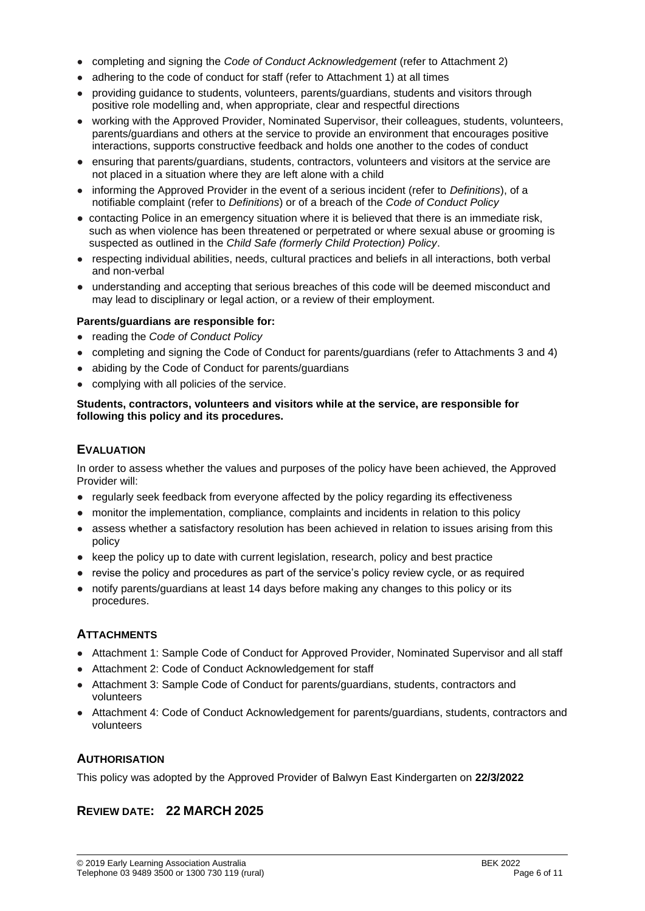- completing and signing the *Code of Conduct Acknowledgement* (refer to Attachment 2)
- adhering to the code of conduct for staff (refer to Attachment 1) at all times
- providing guidance to students, volunteers, parents/guardians, students and visitors through positive role modelling and, when appropriate, clear and respectful directions
- working with the Approved Provider, Nominated Supervisor, their colleagues, students, volunteers, parents/guardians and others at the service to provide an environment that encourages positive interactions, supports constructive feedback and holds one another to the codes of conduct
- ensuring that parents/guardians, students, contractors, volunteers and visitors at the service are not placed in a situation where they are left alone with a child
- informing the Approved Provider in the event of a serious incident (refer to *Definitions*), of a notifiable complaint (refer to *Definitions*) or of a breach of the *Code of Conduct Policy*
- contacting Police in an emergency situation where it is believed that there is an immediate risk, such as when violence has been threatened or perpetrated or where sexual abuse or grooming is suspected as outlined in the *Child Safe (formerly Child Protection) Policy*.
- respecting individual abilities, needs, cultural practices and beliefs in all interactions, both verbal and non-verbal
- understanding and accepting that serious breaches of this code will be deemed misconduct and may lead to disciplinary or legal action, or a review of their employment.

### **Parents/guardians are responsible for:**

- reading the *Code of Conduct Policy*
- completing and signing the Code of Conduct for parents/guardians (refer to Attachments 3 and 4)
- abiding by the Code of Conduct for parents/guardians
- complying with all policies of the service.

#### **Students, contractors, volunteers and visitors while at the service, are responsible for following this policy and its procedures.**

## **EVALUATION**

In order to assess whether the values and purposes of the policy have been achieved, the Approved Provider will:

- regularly seek feedback from everyone affected by the policy regarding its effectiveness
- monitor the implementation, compliance, complaints and incidents in relation to this policy
- assess whether a satisfactory resolution has been achieved in relation to issues arising from this policy
- keep the policy up to date with current legislation, research, policy and best practice
- revise the policy and procedures as part of the service's policy review cycle, or as required
- notify parents/guardians at least 14 days before making any changes to this policy or its procedures.

## **ATTACHMENTS**

- Attachment 1: Sample Code of Conduct for Approved Provider, Nominated Supervisor and all staff
- Attachment 2: Code of Conduct Acknowledgement for staff
- Attachment 3: Sample Code of Conduct for parents/guardians, students, contractors and volunteers
- Attachment 4: Code of Conduct Acknowledgement for parents/guardians, students, contractors and volunteers

### **AUTHORISATION**

This policy was adopted by the Approved Provider of Balwyn East Kindergarten on **22/3/2022**

## **REVIEW DATE: 22 MARCH 2025**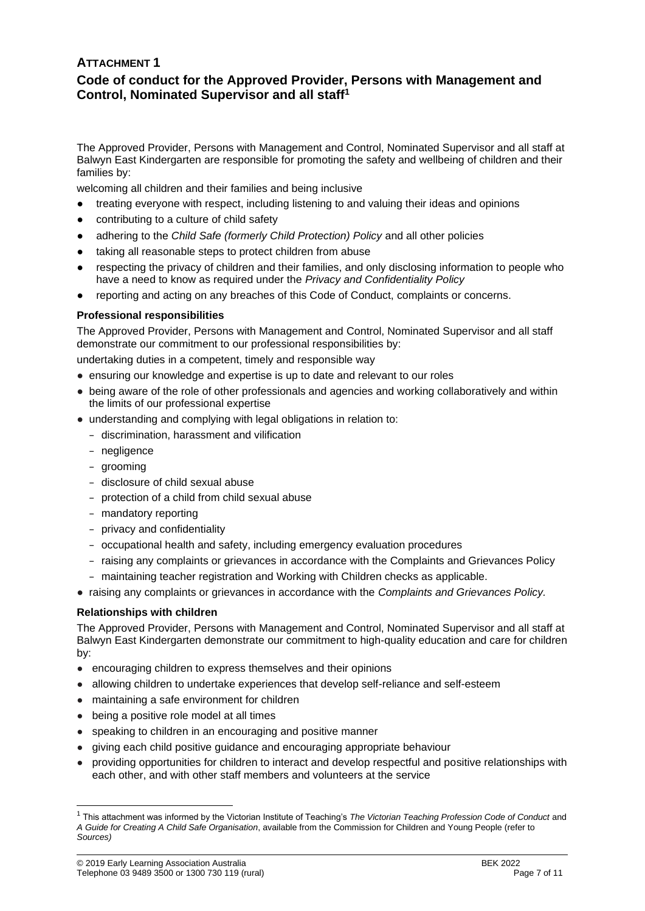## **ATTACHMENT 1 Code of conduct for the Approved Provider, Persons with Management and Control, Nominated Supervisor and all staff<sup>1</sup>**

The Approved Provider, Persons with Management and Control, Nominated Supervisor and all staff at Balwyn East Kindergarten are responsible for promoting the safety and wellbeing of children and their families by:

welcoming all children and their families and being inclusive

- treating everyone with respect, including listening to and valuing their ideas and opinions
- contributing to a culture of child safety
- adhering to the *Child Safe (formerly Child Protection) Policy* and all other policies
- taking all reasonable steps to protect children from abuse
- respecting the privacy of children and their families, and only disclosing information to people who have a need to know as required under the *Privacy and Confidentiality Policy*
- reporting and acting on any breaches of this Code of Conduct, complaints or concerns.

### **Professional responsibilities**

The Approved Provider, Persons with Management and Control, Nominated Supervisor and all staff demonstrate our commitment to our professional responsibilities by:

undertaking duties in a competent, timely and responsible way

- ensuring our knowledge and expertise is up to date and relevant to our roles
- being aware of the role of other professionals and agencies and working collaboratively and within the limits of our professional expertise
- understanding and complying with legal obligations in relation to:
	- − discrimination, harassment and vilification
	- − negligence
	- − grooming
	- − disclosure of child sexual abuse
	- − protection of a child from child sexual abuse
	- − mandatory reporting
	- − privacy and confidentiality
	- − occupational health and safety, including emergency evaluation procedures
	- − raising any complaints or grievances in accordance with the Complaints and Grievances Policy
	- − maintaining teacher registration and Working with Children checks as applicable.
- raising any complaints or grievances in accordance with the *Complaints and Grievances Policy.*

#### **Relationships with children**

The Approved Provider, Persons with Management and Control, Nominated Supervisor and all staff at Balwyn East Kindergarten demonstrate our commitment to high-quality education and care for children by:

- encouraging children to express themselves and their opinions
- allowing children to undertake experiences that develop self-reliance and self-esteem
- maintaining a safe environment for children
- being a positive role model at all times
- speaking to children in an encouraging and positive manner
- giving each child positive guidance and encouraging appropriate behaviour
- providing opportunities for children to interact and develop respectful and positive relationships with each other, and with other staff members and volunteers at the service

<sup>1</sup> This attachment was informed by the Victorian Institute of Teaching's *The Victorian Teaching Profession Code of Conduct* and *A Guide for Creating A Child Safe Organisation*, available from the Commission for Children and Young People (refer to *Sources)*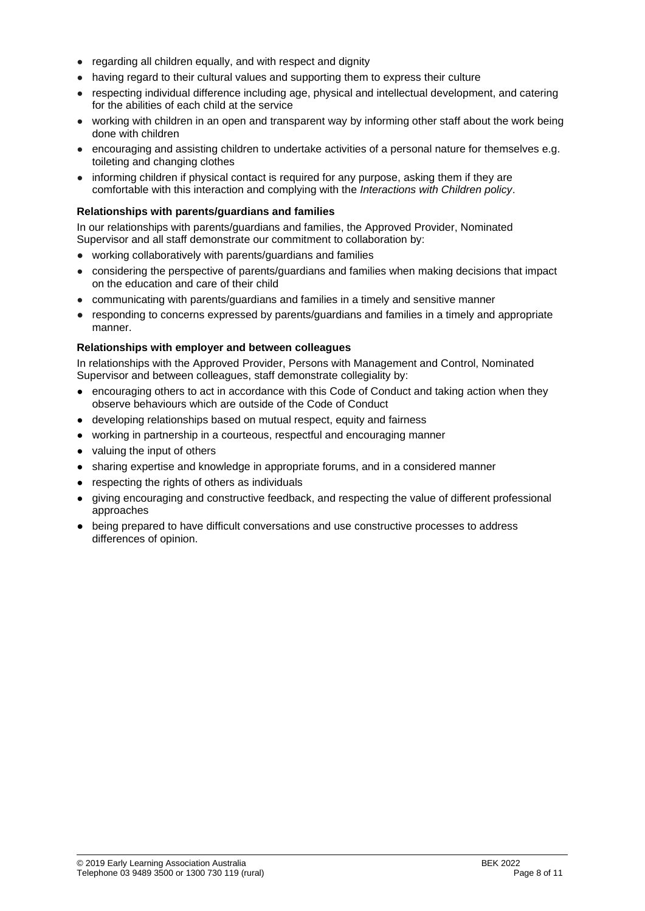- regarding all children equally, and with respect and dignity
- having regard to their cultural values and supporting them to express their culture
- respecting individual difference including age, physical and intellectual development, and catering for the abilities of each child at the service
- working with children in an open and transparent way by informing other staff about the work being done with children
- encouraging and assisting children to undertake activities of a personal nature for themselves e.g. toileting and changing clothes
- informing children if physical contact is required for any purpose, asking them if they are comfortable with this interaction and complying with the *Interactions with Children policy*.

#### **Relationships with parents/guardians and families**

In our relationships with parents/guardians and families, the Approved Provider, Nominated Supervisor and all staff demonstrate our commitment to collaboration by:

- working collaboratively with parents/guardians and families
- considering the perspective of parents/guardians and families when making decisions that impact on the education and care of their child
- communicating with parents/guardians and families in a timely and sensitive manner
- responding to concerns expressed by parents/guardians and families in a timely and appropriate manner.

### **Relationships with employer and between colleagues**

In relationships with the Approved Provider, Persons with Management and Control, Nominated Supervisor and between colleagues, staff demonstrate collegiality by:

- encouraging others to act in accordance with this Code of Conduct and taking action when they observe behaviours which are outside of the Code of Conduct
- developing relationships based on mutual respect, equity and fairness
- working in partnership in a courteous, respectful and encouraging manner
- valuing the input of others
- sharing expertise and knowledge in appropriate forums, and in a considered manner
- respecting the rights of others as individuals
- giving encouraging and constructive feedback, and respecting the value of different professional approaches
- being prepared to have difficult conversations and use constructive processes to address differences of opinion.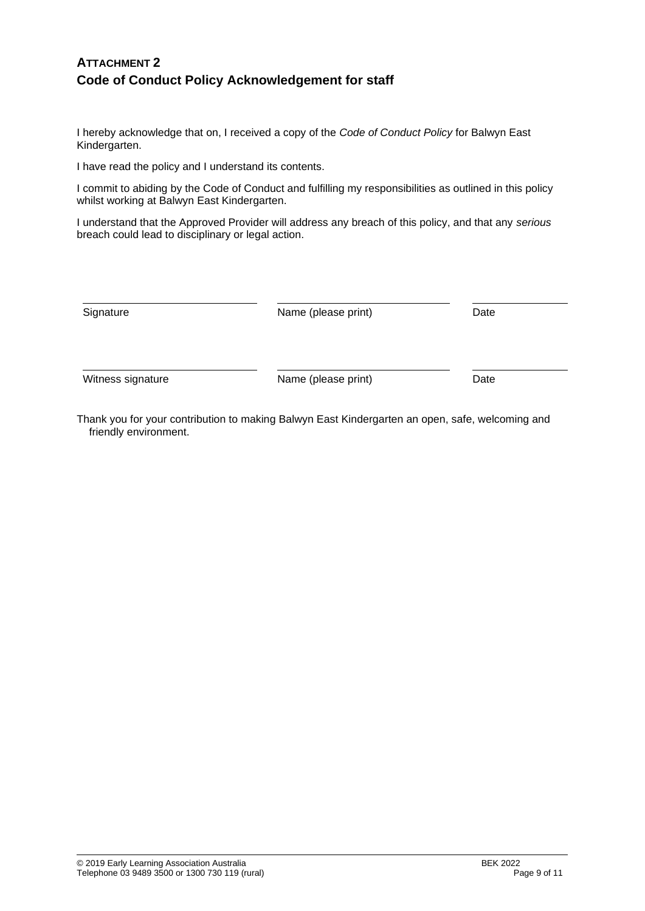## **ATTACHMENT 2 Code of Conduct Policy Acknowledgement for staff**

I hereby acknowledge that on, I received a copy of the *Code of Conduct Policy* for Balwyn East Kindergarten.

I have read the policy and I understand its contents.

I commit to abiding by the Code of Conduct and fulfilling my responsibilities as outlined in this policy whilst working at Balwyn East Kindergarten.

I understand that the Approved Provider will address any breach of this policy, and that any *serious* breach could lead to disciplinary or legal action.

| Signature         | Name (please print) | Date |
|-------------------|---------------------|------|
| Witness signature | Name (please print) | Date |

Thank you for your contribution to making Balwyn East Kindergarten an open, safe, welcoming and friendly environment.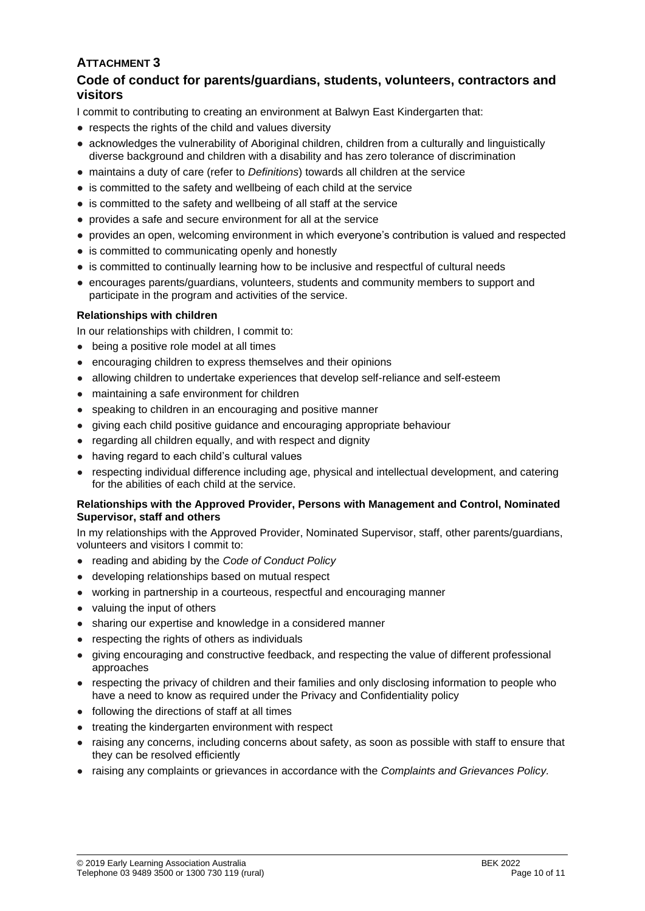# **ATTACHMENT 3**

## **Code of conduct for parents/guardians, students, volunteers, contractors and visitors**

I commit to contributing to creating an environment at Balwyn East Kindergarten that:

- respects the rights of the child and values diversity
- acknowledges the vulnerability of Aboriginal children, children from a culturally and linguistically diverse background and children with a disability and has zero tolerance of discrimination
- maintains a duty of care (refer to *Definitions*) towards all children at the service
- is committed to the safety and wellbeing of each child at the service
- is committed to the safety and wellbeing of all staff at the service
- provides a safe and secure environment for all at the service
- provides an open, welcoming environment in which everyone's contribution is valued and respected
- is committed to communicating openly and honestly
- is committed to continually learning how to be inclusive and respectful of cultural needs
- encourages parents/guardians, volunteers, students and community members to support and participate in the program and activities of the service.

### **Relationships with children**

In our relationships with children, I commit to:

- being a positive role model at all times
- encouraging children to express themselves and their opinions
- allowing children to undertake experiences that develop self-reliance and self-esteem
- maintaining a safe environment for children
- speaking to children in an encouraging and positive manner
- giving each child positive guidance and encouraging appropriate behaviour
- regarding all children equally, and with respect and dignity
- having regard to each child's cultural values
- respecting individual difference including age, physical and intellectual development, and catering for the abilities of each child at the service.

#### **Relationships with the Approved Provider, Persons with Management and Control, Nominated Supervisor, staff and others**

In my relationships with the Approved Provider, Nominated Supervisor, staff, other parents/guardians, volunteers and visitors I commit to:

- reading and abiding by the *Code of Conduct Policy*
- developing relationships based on mutual respect
- working in partnership in a courteous, respectful and encouraging manner
- valuing the input of others
- sharing our expertise and knowledge in a considered manner
- respecting the rights of others as individuals
- giving encouraging and constructive feedback, and respecting the value of different professional approaches
- respecting the privacy of children and their families and only disclosing information to people who have a need to know as required under the Privacy and Confidentiality policy
- following the directions of staff at all times
- treating the kindergarten environment with respect
- raising any concerns, including concerns about safety, as soon as possible with staff to ensure that they can be resolved efficiently
- raising any complaints or grievances in accordance with the *Complaints and Grievances Policy.*